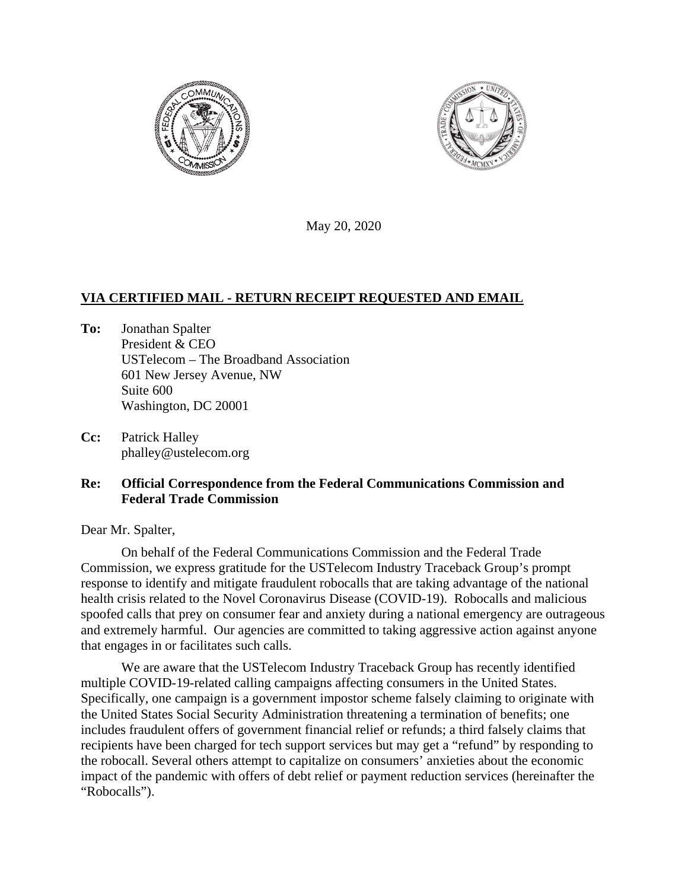



May 20, 2020

## **VIA CERTIFIED MAIL - RETURN RECEIPT REQUESTED AND EMAIL**

- **To:** Jonathan Spalter President & CEO USTelecom – The Broadband Association 601 New Jersey Avenue, NW Suite 600 Washington, DC 20001
- **Cc:** Patrick Halley phalley@ustelecom.org

## **Re: Official Correspondence from the Federal Communications Commission and Federal Trade Commission**

Dear Mr. Spalter,

On behalf of the Federal Communications Commission and the Federal Trade Commission, we express gratitude for the USTelecom Industry Traceback Group's prompt response to identify and mitigate fraudulent robocalls that are taking advantage of the national health crisis related to the Novel Coronavirus Disease (COVID-19). Robocalls and malicious spoofed calls that prey on consumer fear and anxiety during a national emergency are outrageous and extremely harmful. Our agencies are committed to taking aggressive action against anyone that engages in or facilitates such calls.

We are aware that the USTelecom Industry Traceback Group has recently identified multiple COVID-19-related calling campaigns affecting consumers in the United States. Specifically, one campaign is a government impostor scheme falsely claiming to originate with the United States Social Security Administration threatening a termination of benefits; one includes fraudulent offers of government financial relief or refunds; a third falsely claims that recipients have been charged for tech support services but may get a "refund" by responding to the robocall. Several others attempt to capitalize on consumers' anxieties about the economic impact of the pandemic with offers of debt relief or payment reduction services (hereinafter the "Robocalls").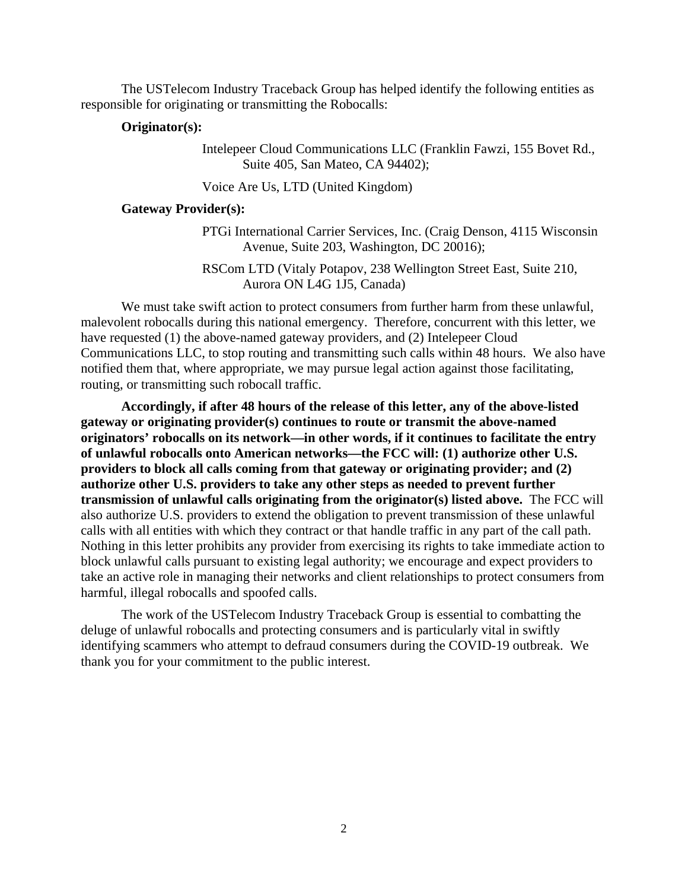The USTelecom Industry Traceback Group has helped identify the following entities as responsible for originating or transmitting the Robocalls:

## **Originator(s):**

Intelepeer Cloud Communications LLC (Franklin Fawzi, 155 Bovet Rd., Suite 405, San Mateo, CA 94402);

Voice Are Us, LTD (United Kingdom)

## **Gateway Provider(s):**

PTGi International Carrier Services, Inc. (Craig Denson, 4115 Wisconsin Avenue, Suite 203, Washington, DC 20016);

RSCom LTD (Vitaly Potapov, 238 Wellington Street East, Suite 210, Aurora ON L4G 1J5, Canada)

We must take swift action to protect consumers from further harm from these unlawful, malevolent robocalls during this national emergency. Therefore, concurrent with this letter, we have requested (1) the above-named gateway providers, and (2) Intelepeer Cloud Communications LLC, to stop routing and transmitting such calls within 48 hours. We also have notified them that, where appropriate, we may pursue legal action against those facilitating, routing, or transmitting such robocall traffic.

**Accordingly, if after 48 hours of the release of this letter, any of the above-listed gateway or originating provider(s) continues to route or transmit the above-named originators' robocalls on its network—in other words, if it continues to facilitate the entry of unlawful robocalls onto American networks—the FCC will: (1) authorize other U.S. providers to block all calls coming from that gateway or originating provider; and (2) authorize other U.S. providers to take any other steps as needed to prevent further transmission of unlawful calls originating from the originator(s) listed above.** The FCC will also authorize U.S. providers to extend the obligation to prevent transmission of these unlawful calls with all entities with which they contract or that handle traffic in any part of the call path. Nothing in this letter prohibits any provider from exercising its rights to take immediate action to block unlawful calls pursuant to existing legal authority; we encourage and expect providers to take an active role in managing their networks and client relationships to protect consumers from harmful, illegal robocalls and spoofed calls.

The work of the USTelecom Industry Traceback Group is essential to combatting the deluge of unlawful robocalls and protecting consumers and is particularly vital in swiftly identifying scammers who attempt to defraud consumers during the COVID-19 outbreak. We thank you for your commitment to the public interest.